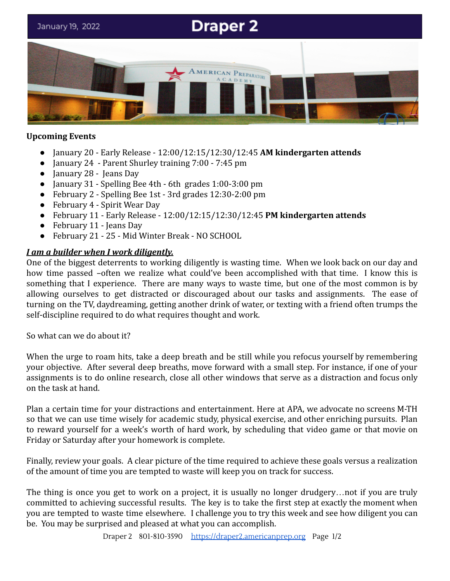# **Draper 2** January 19, 2022 RICAN PREPARATORY

#### **Upcoming Events**

- January 20 Early Release 12:00/12:15/12:30/12:45 **AM kindergarten attends**
- January 24 Parent Shurley training 7:00 7:45 pm
- January 28 Jeans Day
- January 31 Spelling Bee 4th 6th grades 1:00-3:00 pm
- February 2 Spelling Bee 1st 3rd grades 12:30-2:00 pm
- February 4 Spirit Wear Day
- February 11 Early Release 12:00/12:15/12:30/12:45 **PM kindergarten attends**
- February 11 Jeans Day
- February 21 25 Mid Winter Break NO SCHOOL

#### *I am a builder when I work diligently.*

One of the biggest deterrents to working diligently is wasting time. When we look back on our day and how time passed –often we realize what could've been accomplished with that time. I know this is something that I experience. There are many ways to waste time, but one of the most common is by allowing ourselves to get distracted or discouraged about our tasks and assignments. The ease of turning on the TV, daydreaming, getting another drink of water, or texting with a friend often trumps the self-discipline required to do what requires thought and work.

So what can we do about it?

When the urge to roam hits, take a deep breath and be still while you refocus yourself by remembering your objective. After several deep breaths, move forward with a small step. For instance, if one of your assignments is to do online research, close all other windows that serve as a distraction and focus only on the task at hand.

Plan a certain time for your distractions and entertainment. Here at APA, we advocate no screens M-TH so that we can use time wisely for academic study, physical exercise, and other enriching pursuits. Plan to reward yourself for a week's worth of hard work, by scheduling that video game or that movie on Friday or Saturday after your homework is complete.

Finally, review your goals. A clear picture of the time required to achieve these goals versus a realization of the amount of time you are tempted to waste will keep you on track for success.

The thing is once you get to work on a project, it is usually no longer drudgery…not if you are truly committed to achieving successful results. The key is to take the first step at exactly the moment when you are tempted to waste time elsewhere. I challenge you to try this week and see how diligent you can be. You may be surprised and pleased at what you can accomplish.